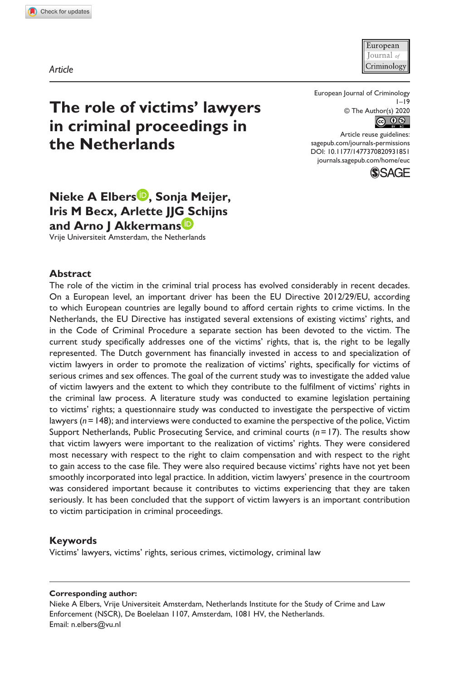**9318[51](http://crossmark.crossref.org/dialog/?doi=10.1177%2F1477370820931851&domain=pdf&date_stamp=2020-06-10)** EUC0010.1177/1477370820931851European Journal of Criminology**Elbers et al.**

European Tournal of Criminology

*Article*

European Journal of Criminology  $1 - 19$ © The Author(s) 2020 

DOI: 10.1177/1477370820931851 Article reuse guidelines: [sagepub.com/journals-permissions](https://uk.sagepub.com/en-gb/journals-permissions) [journals.sagepub.com/home/euc](https://journals.sagepub.com/home/euc)



# **The role of victims' lawyers in criminal proceedings in the Netherlands**

# **Nieke A Elbers , Sonja Meijer, Iris M Becx, Arlette JJG Schijns and Arno J Akkermans**

Vrije Universiteit Amsterdam, the Netherlands

#### **Abstract**

The role of the victim in the criminal trial process has evolved considerably in recent decades. On a European level, an important driver has been the EU Directive 2012/29/EU, according to which European countries are legally bound to afford certain rights to crime victims. In the Netherlands, the EU Directive has instigated several extensions of existing victims' rights, and in the Code of Criminal Procedure a separate section has been devoted to the victim. The current study specifically addresses one of the victims' rights, that is, the right to be legally represented. The Dutch government has financially invested in access to and specialization of victim lawyers in order to promote the realization of victims' rights, specifically for victims of serious crimes and sex offences. The goal of the current study was to investigate the added value of victim lawyers and the extent to which they contribute to the fulfilment of victims' rights in the criminal law process. A literature study was conducted to examine legislation pertaining to victims' rights; a questionnaire study was conducted to investigate the perspective of victim lawyers (*n*=148); and interviews were conducted to examine the perspective of the police, Victim Support Netherlands, Public Prosecuting Service, and criminal courts (*n*=17). The results show that victim lawyers were important to the realization of victims' rights. They were considered most necessary with respect to the right to claim compensation and with respect to the right to gain access to the case file. They were also required because victims' rights have not yet been smoothly incorporated into legal practice. In addition, victim lawyers' presence in the courtroom was considered important because it contributes to victims experiencing that they are taken seriously. It has been concluded that the support of victim lawyers is an important contribution to victim participation in criminal proceedings.

#### **Keywords**

Victims' lawyers, victims' rights, serious crimes, victimology, criminal law

#### **Corresponding author:**

Nieke A Elbers, Vrije Universiteit Amsterdam, Netherlands Institute for the Study of Crime and Law Enforcement (NSCR), De Boelelaan 1107, Amsterdam, 1081 HV, the Netherlands. Email: [n.elbers@vu.nl](mailto:n.elbers@vu.nl)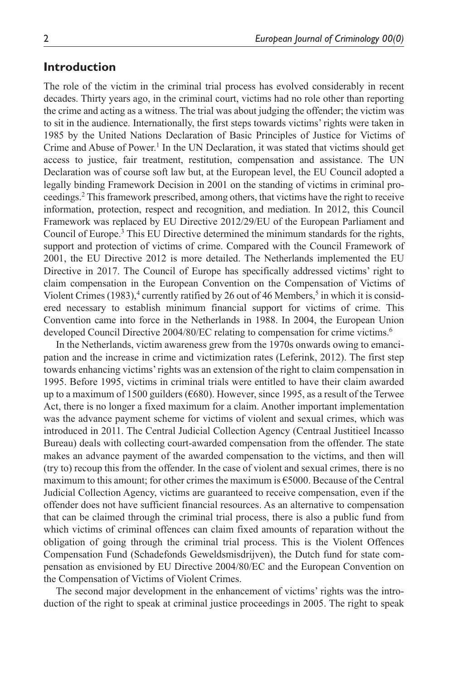#### **Introduction**

The role of the victim in the criminal trial process has evolved considerably in recent decades. Thirty years ago, in the criminal court, victims had no role other than reporting the crime and acting as a witness. The trial was about judging the offender; the victim was to sit in the audience. Internationally, the first steps towards victims' rights were taken in 1985 by the United Nations Declaration of Basic Principles of Justice for Victims of Crime and Abuse of Power.<sup>1</sup> In the UN Declaration, it was stated that victims should get access to justice, fair treatment, restitution, compensation and assistance. The UN Declaration was of course soft law but, at the European level, the EU Council adopted a legally binding Framework Decision in 2001 on the standing of victims in criminal proceedings.2 This framework prescribed, among others, that victims have the right to receive information, protection, respect and recognition, and mediation. In 2012, this Council Framework was replaced by EU Directive 2012/29/EU of the European Parliament and Council of Europe.<sup>3</sup> This EU Directive determined the minimum standards for the rights, support and protection of victims of crime. Compared with the Council Framework of 2001, the EU Directive 2012 is more detailed. The Netherlands implemented the EU Directive in 2017. The Council of Europe has specifically addressed victims' right to claim compensation in the European Convention on the Compensation of Victims of Violent Crimes  $(1983)$ ,<sup>4</sup> currently ratified by 26 out of 46 Members,<sup>5</sup> in which it is considered necessary to establish minimum financial support for victims of crime. This Convention came into force in the Netherlands in 1988. In 2004, the European Union developed Council Directive 2004/80/EC relating to compensation for crime victims.<sup>6</sup>

In the Netherlands, victim awareness grew from the 1970s onwards owing to emancipation and the increase in crime and victimization rates (Leferink, 2012). The first step towards enhancing victims' rights was an extension of the right to claim compensation in 1995. Before 1995, victims in criminal trials were entitled to have their claim awarded up to a maximum of 1500 guilders (€680). However, since 1995, as a result of the Terwee Act, there is no longer a fixed maximum for a claim. Another important implementation was the advance payment scheme for victims of violent and sexual crimes, which was introduced in 2011. The Central Judicial Collection Agency (Centraal Justitieel Incasso Bureau) deals with collecting court-awarded compensation from the offender. The state makes an advance payment of the awarded compensation to the victims, and then will (try to) recoup this from the offender. In the case of violent and sexual crimes, there is no maximum to this amount; for other crimes the maximum is  $\epsilon$ 5000. Because of the Central Judicial Collection Agency, victims are guaranteed to receive compensation, even if the offender does not have sufficient financial resources. As an alternative to compensation that can be claimed through the criminal trial process, there is also a public fund from which victims of criminal offences can claim fixed amounts of reparation without the obligation of going through the criminal trial process. This is the Violent Offences Compensation Fund (Schadefonds Geweldsmisdrijven), the Dutch fund for state compensation as envisioned by EU Directive 2004/80/EC and the European Convention on the Compensation of Victims of Violent Crimes.

The second major development in the enhancement of victims' rights was the introduction of the right to speak at criminal justice proceedings in 2005. The right to speak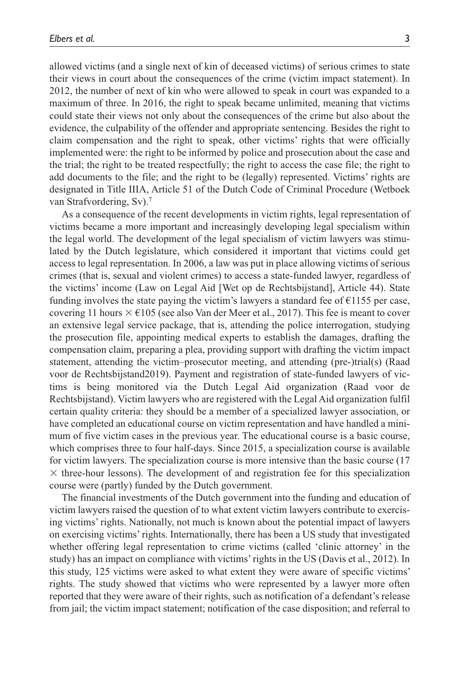allowed victims (and a single next of kin of deceased victims) of serious crimes to state their views in court about the consequences of the crime (victim impact statement). In 2012, the number of next of kin who were allowed to speak in court was expanded to a maximum of three. In 2016, the right to speak became unlimited, meaning that victims could state their views not only about the consequences of the crime but also about the evidence, the culpability of the offender and appropriate sentencing. Besides the right to claim compensation and the right to speak, other victims' rights that were officially implemented were: the right to be informed by police and prosecution about the case and the trial; the right to be treated respectfully; the right to access the case file; the right to add documents to the file; and the right to be (legally) represented. Victims' rights are designated in Title IIIA, Article 51 of the Dutch Code of Criminal Procedure (Wetboek van Strafvordering, Sv).<sup>7</sup>

As a consequence of the recent developments in victim rights, legal representation of victims became a more important and increasingly developing legal specialism within the legal world. The development of the legal specialism of victim lawyers was stimulated by the Dutch legislature, which considered it important that victims could get access to legal representation. In 2006, a law was put in place allowing victims of serious crimes (that is, sexual and violent crimes) to access a state-funded lawyer, regardless of the victims' income (Law on Legal Aid [Wet op de Rechtsbijstand], Article 44). State funding involves the state paying the victim's lawyers a standard fee of  $\epsilon$ 1155 per case, covering 11 hours  $\times$  €105 (see also Van der Meer et al., 2017). This fee is meant to cover an extensive legal service package, that is, attending the police interrogation, studying the prosecution file, appointing medical experts to establish the damages, drafting the compensation claim, preparing a plea, providing support with drafting the victim impact statement, attending the victim–prosecutor meeting, and attending (pre-)trial(s) (Raad voor de Rechtsbijstand2019). Payment and registration of state-funded lawyers of victims is being monitored via the Dutch Legal Aid organization (Raad voor de Rechtsbijstand). Victim lawyers who are registered with the Legal Aid organization fulfil certain quality criteria: they should be a member of a specialized lawyer association, or have completed an educational course on victim representation and have handled a minimum of five victim cases in the previous year. The educational course is a basic course, which comprises three to four half-days. Since 2015, a specialization course is available for victim lawyers. The specialization course is more intensive than the basic course (17  $\times$  three-hour lessons). The development of and registration fee for this specialization course were (partly) funded by the Dutch government.

The financial investments of the Dutch government into the funding and education of victim lawyers raised the question of to what extent victim lawyers contribute to exercising victims' rights. Nationally, not much is known about the potential impact of lawyers on exercising victims' rights. Internationally, there has been a US study that investigated whether offering legal representation to crime victims (called 'clinic attorney' in the study) has an impact on compliance with victims' rights in the US (Davis et al., 2012). In this study, 125 victims were asked to what extent they were aware of specific victims' rights. The study showed that victims who were represented by a lawyer more often reported that they were aware of their rights, such as notification of a defendant's release from jail; the victim impact statement; notification of the case disposition; and referral to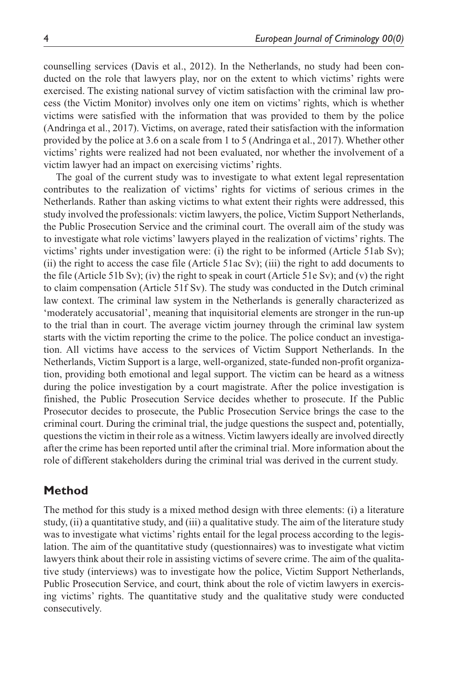counselling services (Davis et al., 2012). In the Netherlands, no study had been conducted on the role that lawyers play, nor on the extent to which victims' rights were exercised. The existing national survey of victim satisfaction with the criminal law process (the Victim Monitor) involves only one item on victims' rights, which is whether victims were satisfied with the information that was provided to them by the police (Andringa et al., 2017). Victims, on average, rated their satisfaction with the information provided by the police at 3.6 on a scale from 1 to 5 (Andringa et al., 2017). Whether other victims' rights were realized had not been evaluated, nor whether the involvement of a victim lawyer had an impact on exercising victims' rights.

The goal of the current study was to investigate to what extent legal representation contributes to the realization of victims' rights for victims of serious crimes in the Netherlands. Rather than asking victims to what extent their rights were addressed, this study involved the professionals: victim lawyers, the police, Victim Support Netherlands, the Public Prosecution Service and the criminal court. The overall aim of the study was to investigate what role victims' lawyers played in the realization of victims' rights. The victims' rights under investigation were: (i) the right to be informed (Article 51ab Sv); (ii) the right to access the case file (Article 51ac Sv); (iii) the right to add documents to the file (Article 51b Sv); (iv) the right to speak in court (Article 51e Sv); and (v) the right to claim compensation (Article 51f Sv). The study was conducted in the Dutch criminal law context. The criminal law system in the Netherlands is generally characterized as 'moderately accusatorial', meaning that inquisitorial elements are stronger in the run-up to the trial than in court. The average victim journey through the criminal law system starts with the victim reporting the crime to the police. The police conduct an investigation. All victims have access to the services of Victim Support Netherlands. In the Netherlands, Victim Support is a large, well-organized, state-funded non-profit organization, providing both emotional and legal support. The victim can be heard as a witness during the police investigation by a court magistrate. After the police investigation is finished, the Public Prosecution Service decides whether to prosecute. If the Public Prosecutor decides to prosecute, the Public Prosecution Service brings the case to the criminal court. During the criminal trial, the judge questions the suspect and, potentially, questions the victim in their role as a witness. Victim lawyers ideally are involved directly after the crime has been reported until after the criminal trial. More information about the role of different stakeholders during the criminal trial was derived in the current study.

## **Method**

The method for this study is a mixed method design with three elements: (i) a literature study, (ii) a quantitative study, and (iii) a qualitative study. The aim of the literature study was to investigate what victims' rights entail for the legal process according to the legislation. The aim of the quantitative study (questionnaires) was to investigate what victim lawyers think about their role in assisting victims of severe crime. The aim of the qualitative study (interviews) was to investigate how the police, Victim Support Netherlands, Public Prosecution Service, and court, think about the role of victim lawyers in exercising victims' rights. The quantitative study and the qualitative study were conducted consecutively.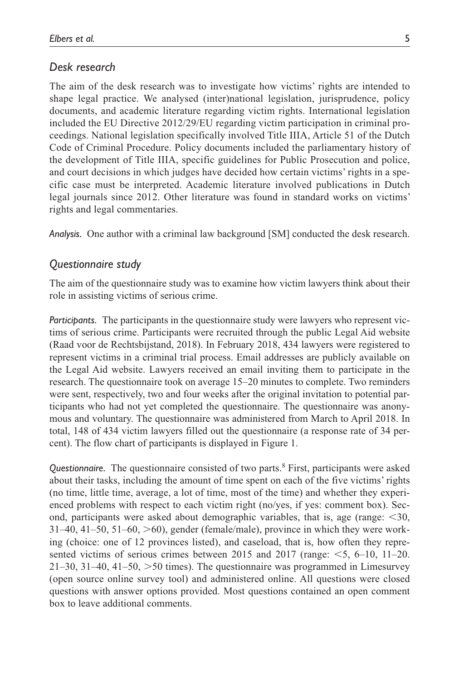#### *Desk research*

The aim of the desk research was to investigate how victims' rights are intended to shape legal practice. We analysed (inter)national legislation, jurisprudence, policy documents, and academic literature regarding victim rights. International legislation included the EU Directive 2012/29/EU regarding victim participation in criminal proceedings. National legislation specifically involved Title IIIA, Article 51 of the Dutch Code of Criminal Procedure. Policy documents included the parliamentary history of the development of Title IIIA, specific guidelines for Public Prosecution and police, and court decisions in which judges have decided how certain victims' rights in a specific case must be interpreted. Academic literature involved publications in Dutch legal journals since 2012. Other literature was found in standard works on victims' rights and legal commentaries.

*Analysis.* One author with a criminal law background [SM] conducted the desk research.

#### *Questionnaire study*

The aim of the questionnaire study was to examine how victim lawyers think about their role in assisting victims of serious crime.

*Participants.* The participants in the questionnaire study were lawyers who represent victims of serious crime. Participants were recruited through the public Legal Aid website (Raad voor de Rechtsbijstand, 2018). In February 2018, 434 lawyers were registered to represent victims in a criminal trial process. Email addresses are publicly available on the Legal Aid website. Lawyers received an email inviting them to participate in the research. The questionnaire took on average 15–20 minutes to complete. Two reminders were sent, respectively, two and four weeks after the original invitation to potential participants who had not yet completed the questionnaire. The questionnaire was anonymous and voluntary. The questionnaire was administered from March to April 2018. In total, 148 of 434 victim lawyers filled out the questionnaire (a response rate of 34 percent). The flow chart of participants is displayed in Figure 1.

Questionnaire. The questionnaire consisted of two parts.<sup>8</sup> First, participants were asked about their tasks, including the amount of time spent on each of the five victims' rights (no time, little time, average, a lot of time, most of the time) and whether they experienced problems with respect to each victim right (no/yes, if yes: comment box). Second, participants were asked about demographic variables, that is, age (range: <30,  $31-40$ ,  $41-50$ ,  $51-60$ ,  $>60$ ), gender (female/male), province in which they were working (choice: one of 12 provinces listed), and caseload, that is, how often they represented victims of serious crimes between 2015 and 2017 (range:  $\leq$ 5, 6–10, 11–20. 21–30, 31–40, 41–50, >50 times). The questionnaire was programmed in Limesurvey (open source online survey tool) and administered online. All questions were closed questions with answer options provided. Most questions contained an open comment box to leave additional comments.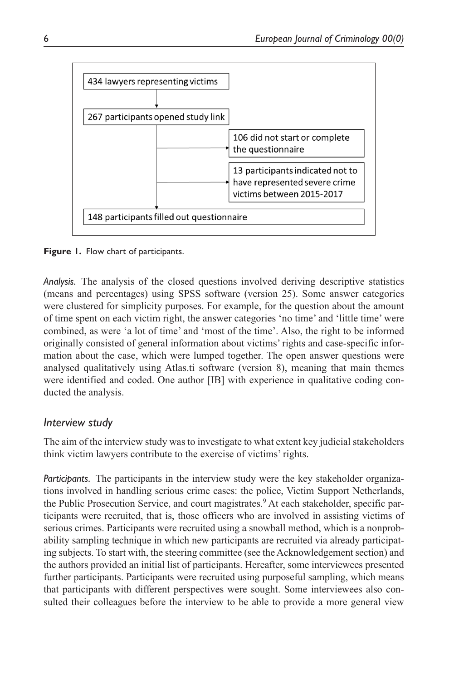

**Figure 1.** Flow chart of participants.

*Analysis.* The analysis of the closed questions involved deriving descriptive statistics (means and percentages) using SPSS software (version 25). Some answer categories were clustered for simplicity purposes. For example, for the question about the amount of time spent on each victim right, the answer categories 'no time' and 'little time' were combined, as were 'a lot of time' and 'most of the time'. Also, the right to be informed originally consisted of general information about victims' rights and case-specific information about the case, which were lumped together. The open answer questions were analysed qualitatively using Atlas.ti software (version 8), meaning that main themes were identified and coded. One author [IB] with experience in qualitative coding conducted the analysis.

# *Interview study*

The aim of the interview study was to investigate to what extent key judicial stakeholders think victim lawyers contribute to the exercise of victims' rights.

*Participants.* The participants in the interview study were the key stakeholder organizations involved in handling serious crime cases: the police, Victim Support Netherlands, the Public Prosecution Service, and court magistrates.<sup>9</sup> At each stakeholder, specific participants were recruited, that is, those officers who are involved in assisting victims of serious crimes. Participants were recruited using a snowball method, which is a nonprobability sampling technique in which new participants are recruited via already participating subjects. To start with, the steering committee (see the Acknowledgement section) and the authors provided an initial list of participants. Hereafter, some interviewees presented further participants. Participants were recruited using purposeful sampling, which means that participants with different perspectives were sought. Some interviewees also consulted their colleagues before the interview to be able to provide a more general view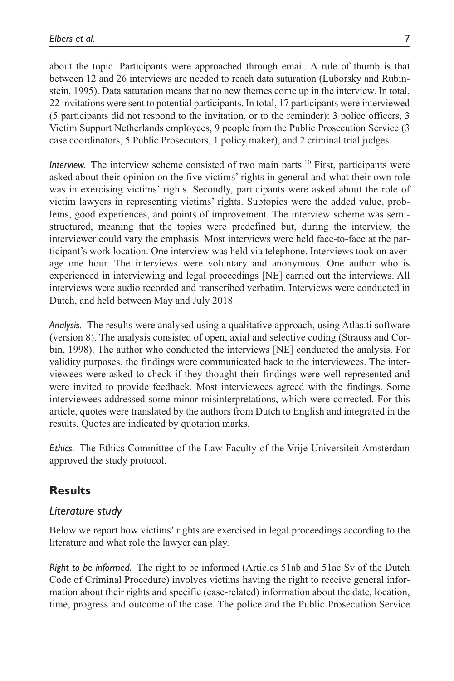about the topic. Participants were approached through email. A rule of thumb is that between 12 and 26 interviews are needed to reach data saturation (Luborsky and Rubinstein, 1995). Data saturation means that no new themes come up in the interview. In total, 22 invitations were sent to potential participants. In total, 17 participants were interviewed (5 participants did not respond to the invitation, or to the reminder): 3 police officers, 3 Victim Support Netherlands employees, 9 people from the Public Prosecution Service (3 case coordinators, 5 Public Prosecutors, 1 policy maker), and 2 criminal trial judges.

*Interview.* The interview scheme consisted of two main parts.10 First, participants were asked about their opinion on the five victims' rights in general and what their own role was in exercising victims' rights. Secondly, participants were asked about the role of victim lawyers in representing victims' rights. Subtopics were the added value, problems, good experiences, and points of improvement. The interview scheme was semistructured, meaning that the topics were predefined but, during the interview, the interviewer could vary the emphasis. Most interviews were held face-to-face at the participant's work location. One interview was held via telephone. Interviews took on average one hour. The interviews were voluntary and anonymous. One author who is experienced in interviewing and legal proceedings [NE] carried out the interviews. All interviews were audio recorded and transcribed verbatim. Interviews were conducted in Dutch, and held between May and July 2018.

*Analysis.* The results were analysed using a qualitative approach, using Atlas.ti software (version 8). The analysis consisted of open, axial and selective coding (Strauss and Corbin, 1998). The author who conducted the interviews [NE] conducted the analysis. For validity purposes, the findings were communicated back to the interviewees. The interviewees were asked to check if they thought their findings were well represented and were invited to provide feedback. Most interviewees agreed with the findings. Some interviewees addressed some minor misinterpretations, which were corrected. For this article, quotes were translated by the authors from Dutch to English and integrated in the results. Quotes are indicated by quotation marks.

*Ethics.* The Ethics Committee of the Law Faculty of the Vrije Universiteit Amsterdam approved the study protocol.

# **Results**

## *Literature study*

Below we report how victims' rights are exercised in legal proceedings according to the literature and what role the lawyer can play.

*Right to be informed.* The right to be informed (Articles 51ab and 51ac Sv of the Dutch Code of Criminal Procedure) involves victims having the right to receive general information about their rights and specific (case-related) information about the date, location, time, progress and outcome of the case. The police and the Public Prosecution Service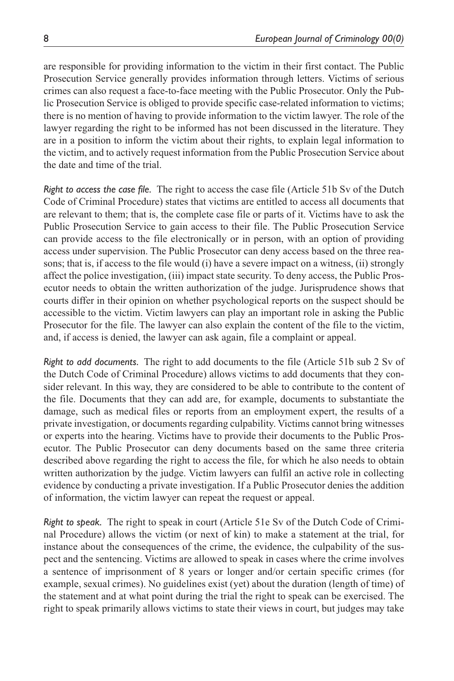are responsible for providing information to the victim in their first contact. The Public Prosecution Service generally provides information through letters. Victims of serious crimes can also request a face-to-face meeting with the Public Prosecutor. Only the Public Prosecution Service is obliged to provide specific case-related information to victims; there is no mention of having to provide information to the victim lawyer. The role of the lawyer regarding the right to be informed has not been discussed in the literature. They are in a position to inform the victim about their rights, to explain legal information to the victim, and to actively request information from the Public Prosecution Service about the date and time of the trial.

*Right to access the case file.* The right to access the case file (Article 51b Sv of the Dutch Code of Criminal Procedure) states that victims are entitled to access all documents that are relevant to them; that is, the complete case file or parts of it. Victims have to ask the Public Prosecution Service to gain access to their file. The Public Prosecution Service can provide access to the file electronically or in person, with an option of providing access under supervision. The Public Prosecutor can deny access based on the three reasons; that is, if access to the file would (i) have a severe impact on a witness, (ii) strongly affect the police investigation, (iii) impact state security. To deny access, the Public Prosecutor needs to obtain the written authorization of the judge. Jurisprudence shows that courts differ in their opinion on whether psychological reports on the suspect should be accessible to the victim. Victim lawyers can play an important role in asking the Public Prosecutor for the file. The lawyer can also explain the content of the file to the victim, and, if access is denied, the lawyer can ask again, file a complaint or appeal.

*Right to add documents.* The right to add documents to the file (Article 51b sub 2 Sv of the Dutch Code of Criminal Procedure) allows victims to add documents that they consider relevant. In this way, they are considered to be able to contribute to the content of the file. Documents that they can add are, for example, documents to substantiate the damage, such as medical files or reports from an employment expert, the results of a private investigation, or documents regarding culpability. Victims cannot bring witnesses or experts into the hearing. Victims have to provide their documents to the Public Prosecutor. The Public Prosecutor can deny documents based on the same three criteria described above regarding the right to access the file, for which he also needs to obtain written authorization by the judge. Victim lawyers can fulfil an active role in collecting evidence by conducting a private investigation. If a Public Prosecutor denies the addition of information, the victim lawyer can repeat the request or appeal.

*Right to speak.* The right to speak in court (Article 51e Sv of the Dutch Code of Criminal Procedure) allows the victim (or next of kin) to make a statement at the trial, for instance about the consequences of the crime, the evidence, the culpability of the suspect and the sentencing. Victims are allowed to speak in cases where the crime involves a sentence of imprisonment of 8 years or longer and/or certain specific crimes (for example, sexual crimes). No guidelines exist (yet) about the duration (length of time) of the statement and at what point during the trial the right to speak can be exercised. The right to speak primarily allows victims to state their views in court, but judges may take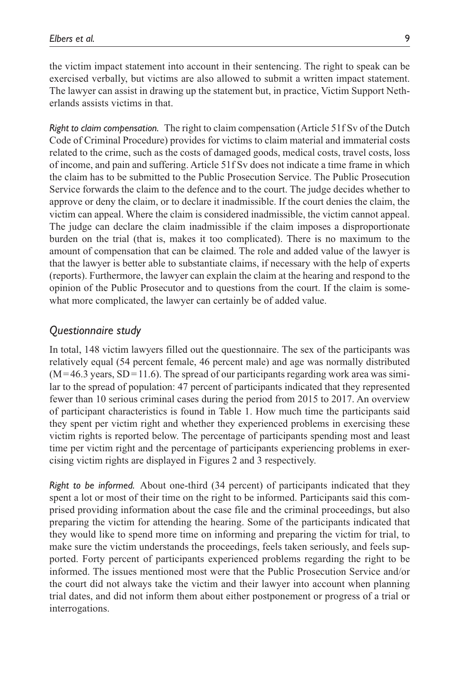the victim impact statement into account in their sentencing. The right to speak can be exercised verbally, but victims are also allowed to submit a written impact statement. The lawyer can assist in drawing up the statement but, in practice, Victim Support Netherlands assists victims in that.

*Right to claim compensation.* The right to claim compensation (Article 51f Sv of the Dutch Code of Criminal Procedure) provides for victims to claim material and immaterial costs related to the crime, such as the costs of damaged goods, medical costs, travel costs, loss of income, and pain and suffering. Article 51f Sv does not indicate a time frame in which the claim has to be submitted to the Public Prosecution Service. The Public Prosecution Service forwards the claim to the defence and to the court. The judge decides whether to approve or deny the claim, or to declare it inadmissible. If the court denies the claim, the victim can appeal. Where the claim is considered inadmissible, the victim cannot appeal. The judge can declare the claim inadmissible if the claim imposes a disproportionate burden on the trial (that is, makes it too complicated). There is no maximum to the amount of compensation that can be claimed. The role and added value of the lawyer is that the lawyer is better able to substantiate claims, if necessary with the help of experts (reports). Furthermore, the lawyer can explain the claim at the hearing and respond to the opinion of the Public Prosecutor and to questions from the court. If the claim is somewhat more complicated, the lawyer can certainly be of added value.

## *Questionnaire study*

In total, 148 victim lawyers filled out the questionnaire. The sex of the participants was relatively equal (54 percent female, 46 percent male) and age was normally distributed  $(M=46.3 \text{ years}, SD=11.6)$ . The spread of our participants regarding work area was similar to the spread of population: 47 percent of participants indicated that they represented fewer than 10 serious criminal cases during the period from 2015 to 2017. An overview of participant characteristics is found in Table 1. How much time the participants said they spent per victim right and whether they experienced problems in exercising these victim rights is reported below. The percentage of participants spending most and least time per victim right and the percentage of participants experiencing problems in exercising victim rights are displayed in Figures 2 and 3 respectively.

*Right to be informed.* About one-third (34 percent) of participants indicated that they spent a lot or most of their time on the right to be informed. Participants said this comprised providing information about the case file and the criminal proceedings, but also preparing the victim for attending the hearing. Some of the participants indicated that they would like to spend more time on informing and preparing the victim for trial, to make sure the victim understands the proceedings, feels taken seriously, and feels supported. Forty percent of participants experienced problems regarding the right to be informed. The issues mentioned most were that the Public Prosecution Service and/or the court did not always take the victim and their lawyer into account when planning trial dates, and did not inform them about either postponement or progress of a trial or interrogations.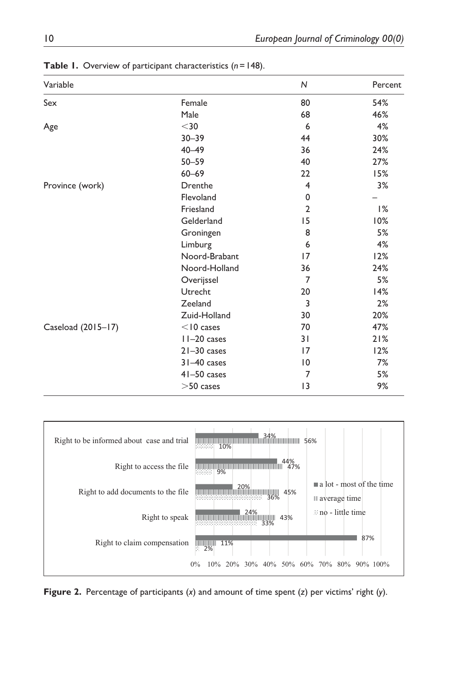| Variable           |                 | N               | Percent |
|--------------------|-----------------|-----------------|---------|
| Sex                | Female          | 80              | 54%     |
|                    | Male            | 68              | 46%     |
| Age                | $30$            | 6               | 4%      |
|                    | $30 - 39$       | 44              | 30%     |
|                    | $40 - 49$       | 36              | 24%     |
|                    | $50 - 59$       | 40              | 27%     |
|                    | $60 - 69$       | 22              | 15%     |
| Province (work)    | Drenthe         | 4               | 3%      |
|                    | Flevoland       | 0               |         |
|                    | Friesland       | $\overline{2}$  | 1%      |
|                    | Gelderland      | 15              | 10%     |
|                    | Groningen       | 8               | 5%      |
|                    | Limburg         | 6               | 4%      |
|                    | Noord-Brabant   | 17              | 12%     |
|                    | Noord-Holland   | 36              | 24%     |
|                    | Overijssel      | 7               | 5%      |
|                    | Utrecht         | 20              | 14%     |
|                    | Zeeland         | 3               | 2%      |
|                    | Zuid-Holland    | 30              | 20%     |
| Caseload (2015-17) | $<$ 10 cases    | 70              | 47%     |
|                    | $11-20$ cases   | 31              | 21%     |
|                    | $21 - 30$ cases | 17              | 12%     |
|                    | $31 - 40$ cases | $\overline{0}$  | 7%      |
|                    | $41 - 50$ cases | 7               | 5%      |
|                    | $>50$ cases     | $\overline{13}$ | 9%      |

**Table 1.** Overview of participant characteristics (*n*=148).



**Figure 2.** Percentage of participants (*x*) and amount of time spent (*z*) per victims' right (*y*).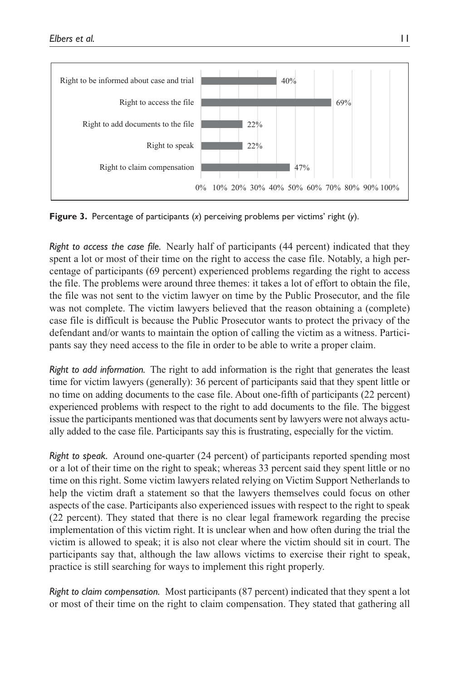

**Figure 3.** Percentage of participants (*x*) perceiving problems per victims' right (*y*).

*Right to access the case file.* Nearly half of participants (44 percent) indicated that they spent a lot or most of their time on the right to access the case file. Notably, a high percentage of participants (69 percent) experienced problems regarding the right to access the file. The problems were around three themes: it takes a lot of effort to obtain the file, the file was not sent to the victim lawyer on time by the Public Prosecutor, and the file was not complete. The victim lawyers believed that the reason obtaining a (complete) case file is difficult is because the Public Prosecutor wants to protect the privacy of the defendant and/or wants to maintain the option of calling the victim as a witness. Participants say they need access to the file in order to be able to write a proper claim.

*Right to add information.* The right to add information is the right that generates the least time for victim lawyers (generally): 36 percent of participants said that they spent little or no time on adding documents to the case file. About one-fifth of participants (22 percent) experienced problems with respect to the right to add documents to the file. The biggest issue the participants mentioned was that documents sent by lawyers were not always actually added to the case file. Participants say this is frustrating, especially for the victim.

*Right to speak.* Around one-quarter (24 percent) of participants reported spending most or a lot of their time on the right to speak; whereas 33 percent said they spent little or no time on this right. Some victim lawyers related relying on Victim Support Netherlands to help the victim draft a statement so that the lawyers themselves could focus on other aspects of the case. Participants also experienced issues with respect to the right to speak (22 percent). They stated that there is no clear legal framework regarding the precise implementation of this victim right. It is unclear when and how often during the trial the victim is allowed to speak; it is also not clear where the victim should sit in court. The participants say that, although the law allows victims to exercise their right to speak, practice is still searching for ways to implement this right properly.

*Right to claim compensation.* Most participants (87 percent) indicated that they spent a lot or most of their time on the right to claim compensation. They stated that gathering all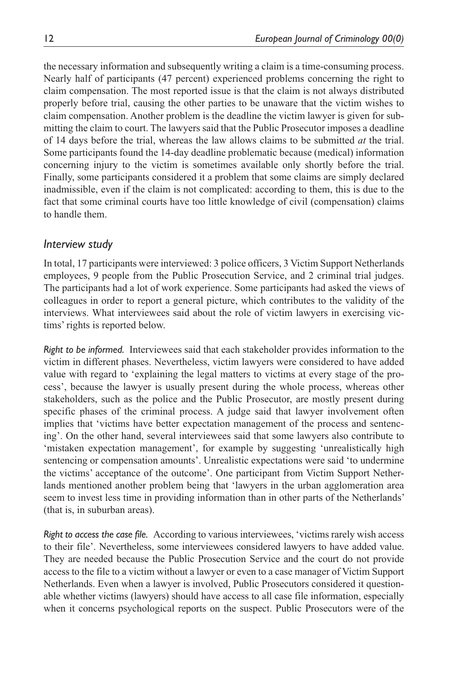the necessary information and subsequently writing a claim is a time-consuming process. Nearly half of participants (47 percent) experienced problems concerning the right to claim compensation. The most reported issue is that the claim is not always distributed properly before trial, causing the other parties to be unaware that the victim wishes to claim compensation. Another problem is the deadline the victim lawyer is given for submitting the claim to court. The lawyers said that the Public Prosecutor imposes a deadline of 14 days before the trial, whereas the law allows claims to be submitted *at* the trial. Some participants found the 14-day deadline problematic because (medical) information concerning injury to the victim is sometimes available only shortly before the trial. Finally, some participants considered it a problem that some claims are simply declared inadmissible, even if the claim is not complicated: according to them, this is due to the fact that some criminal courts have too little knowledge of civil (compensation) claims to handle them.

## *Interview study*

In total, 17 participants were interviewed: 3 police officers, 3 Victim Support Netherlands employees, 9 people from the Public Prosecution Service, and 2 criminal trial judges. The participants had a lot of work experience. Some participants had asked the views of colleagues in order to report a general picture, which contributes to the validity of the interviews. What interviewees said about the role of victim lawyers in exercising victims' rights is reported below.

*Right to be informed.* Interviewees said that each stakeholder provides information to the victim in different phases. Nevertheless, victim lawyers were considered to have added value with regard to 'explaining the legal matters to victims at every stage of the process', because the lawyer is usually present during the whole process, whereas other stakeholders, such as the police and the Public Prosecutor, are mostly present during specific phases of the criminal process. A judge said that lawyer involvement often implies that 'victims have better expectation management of the process and sentencing'. On the other hand, several interviewees said that some lawyers also contribute to 'mistaken expectation management', for example by suggesting 'unrealistically high sentencing or compensation amounts'. Unrealistic expectations were said 'to undermine the victims' acceptance of the outcome'. One participant from Victim Support Netherlands mentioned another problem being that 'lawyers in the urban agglomeration area seem to invest less time in providing information than in other parts of the Netherlands' (that is, in suburban areas).

*Right to access the case file.* According to various interviewees, 'victims rarely wish access to their file'. Nevertheless, some interviewees considered lawyers to have added value. They are needed because the Public Prosecution Service and the court do not provide access to the file to a victim without a lawyer or even to a case manager of Victim Support Netherlands. Even when a lawyer is involved, Public Prosecutors considered it questionable whether victims (lawyers) should have access to all case file information, especially when it concerns psychological reports on the suspect. Public Prosecutors were of the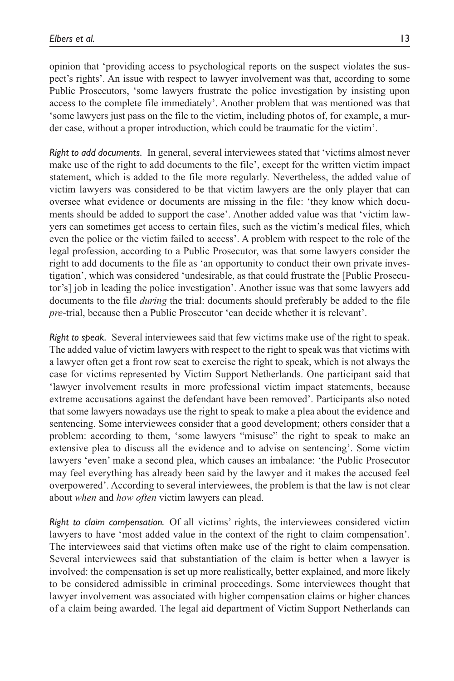opinion that 'providing access to psychological reports on the suspect violates the suspect's rights'. An issue with respect to lawyer involvement was that, according to some Public Prosecutors, 'some lawyers frustrate the police investigation by insisting upon access to the complete file immediately'. Another problem that was mentioned was that 'some lawyers just pass on the file to the victim, including photos of, for example, a murder case, without a proper introduction, which could be traumatic for the victim'.

*Right to add documents.* In general, several interviewees stated that 'victims almost never make use of the right to add documents to the file', except for the written victim impact statement, which is added to the file more regularly. Nevertheless, the added value of victim lawyers was considered to be that victim lawyers are the only player that can oversee what evidence or documents are missing in the file: 'they know which documents should be added to support the case'. Another added value was that 'victim lawyers can sometimes get access to certain files, such as the victim's medical files, which even the police or the victim failed to access'. A problem with respect to the role of the legal profession, according to a Public Prosecutor, was that some lawyers consider the right to add documents to the file as 'an opportunity to conduct their own private investigation', which was considered 'undesirable, as that could frustrate the [Public Prosecutor's] job in leading the police investigation'. Another issue was that some lawyers add documents to the file *during* the trial: documents should preferably be added to the file *pre-*trial, because then a Public Prosecutor 'can decide whether it is relevant'.

*Right to speak.* Several interviewees said that few victims make use of the right to speak. The added value of victim lawyers with respect to the right to speak was that victims with a lawyer often get a front row seat to exercise the right to speak, which is not always the case for victims represented by Victim Support Netherlands. One participant said that 'lawyer involvement results in more professional victim impact statements, because extreme accusations against the defendant have been removed'. Participants also noted that some lawyers nowadays use the right to speak to make a plea about the evidence and sentencing. Some interviewees consider that a good development; others consider that a problem: according to them, 'some lawyers "misuse" the right to speak to make an extensive plea to discuss all the evidence and to advise on sentencing'. Some victim lawyers 'even' make a second plea, which causes an imbalance: 'the Public Prosecutor may feel everything has already been said by the lawyer and it makes the accused feel overpowered'. According to several interviewees, the problem is that the law is not clear about *when* and *how often* victim lawyers can plead.

*Right to claim compensation.* Of all victims' rights, the interviewees considered victim lawyers to have 'most added value in the context of the right to claim compensation'. The interviewees said that victims often make use of the right to claim compensation. Several interviewees said that substantiation of the claim is better when a lawyer is involved: the compensation is set up more realistically, better explained, and more likely to be considered admissible in criminal proceedings. Some interviewees thought that lawyer involvement was associated with higher compensation claims or higher chances of a claim being awarded. The legal aid department of Victim Support Netherlands can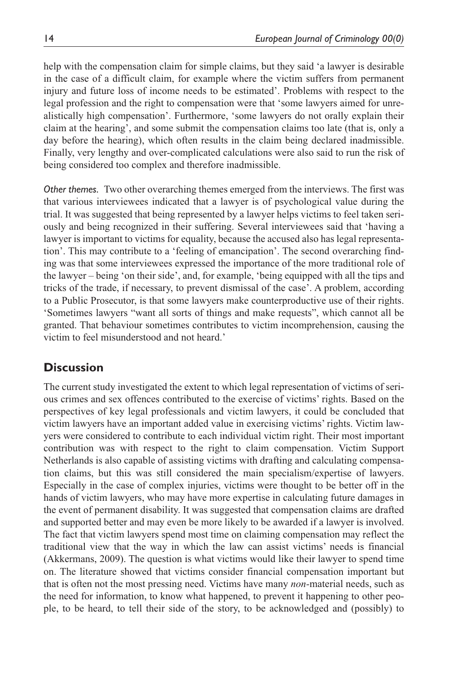help with the compensation claim for simple claims, but they said 'a lawyer is desirable in the case of a difficult claim, for example where the victim suffers from permanent injury and future loss of income needs to be estimated'. Problems with respect to the legal profession and the right to compensation were that 'some lawyers aimed for unrealistically high compensation'. Furthermore, 'some lawyers do not orally explain their claim at the hearing', and some submit the compensation claims too late (that is, only a day before the hearing), which often results in the claim being declared inadmissible. Finally, very lengthy and over-complicated calculations were also said to run the risk of being considered too complex and therefore inadmissible.

*Other themes.* Two other overarching themes emerged from the interviews. The first was that various interviewees indicated that a lawyer is of psychological value during the trial. It was suggested that being represented by a lawyer helps victims to feel taken seriously and being recognized in their suffering. Several interviewees said that 'having a lawyer is important to victims for equality, because the accused also has legal representation'. This may contribute to a 'feeling of emancipation'. The second overarching finding was that some interviewees expressed the importance of the more traditional role of the lawyer – being 'on their side', and, for example, 'being equipped with all the tips and tricks of the trade, if necessary, to prevent dismissal of the case'. A problem, according to a Public Prosecutor, is that some lawyers make counterproductive use of their rights. 'Sometimes lawyers "want all sorts of things and make requests", which cannot all be granted. That behaviour sometimes contributes to victim incomprehension, causing the victim to feel misunderstood and not heard.'

# **Discussion**

The current study investigated the extent to which legal representation of victims of serious crimes and sex offences contributed to the exercise of victims' rights. Based on the perspectives of key legal professionals and victim lawyers, it could be concluded that victim lawyers have an important added value in exercising victims' rights. Victim lawyers were considered to contribute to each individual victim right. Their most important contribution was with respect to the right to claim compensation. Victim Support Netherlands is also capable of assisting victims with drafting and calculating compensation claims, but this was still considered the main specialism/expertise of lawyers. Especially in the case of complex injuries, victims were thought to be better off in the hands of victim lawyers, who may have more expertise in calculating future damages in the event of permanent disability. It was suggested that compensation claims are drafted and supported better and may even be more likely to be awarded if a lawyer is involved. The fact that victim lawyers spend most time on claiming compensation may reflect the traditional view that the way in which the law can assist victims' needs is financial (Akkermans, 2009). The question is what victims would like their lawyer to spend time on. The literature showed that victims consider financial compensation important but that is often not the most pressing need. Victims have many *non-*material needs, such as the need for information, to know what happened, to prevent it happening to other people, to be heard, to tell their side of the story, to be acknowledged and (possibly) to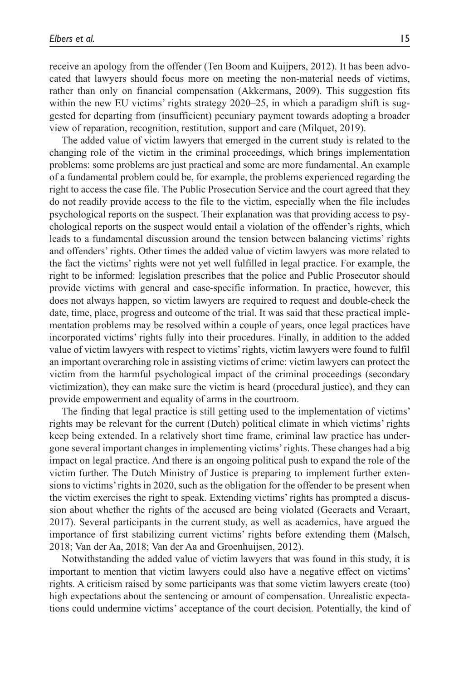receive an apology from the offender (Ten Boom and Kuijpers, 2012). It has been advocated that lawyers should focus more on meeting the non-material needs of victims,

rather than only on financial compensation (Akkermans, 2009). This suggestion fits within the new EU victims' rights strategy 2020–25, in which a paradigm shift is suggested for departing from (insufficient) pecuniary payment towards adopting a broader view of reparation, recognition, restitution, support and care (Milquet, 2019).

The added value of victim lawyers that emerged in the current study is related to the changing role of the victim in the criminal proceedings, which brings implementation problems: some problems are just practical and some are more fundamental. An example of a fundamental problem could be, for example, the problems experienced regarding the right to access the case file. The Public Prosecution Service and the court agreed that they do not readily provide access to the file to the victim, especially when the file includes psychological reports on the suspect. Their explanation was that providing access to psychological reports on the suspect would entail a violation of the offender's rights, which leads to a fundamental discussion around the tension between balancing victims' rights and offenders' rights. Other times the added value of victim lawyers was more related to the fact the victims' rights were not yet well fulfilled in legal practice. For example, the right to be informed: legislation prescribes that the police and Public Prosecutor should provide victims with general and case-specific information. In practice, however, this does not always happen, so victim lawyers are required to request and double-check the date, time, place, progress and outcome of the trial. It was said that these practical implementation problems may be resolved within a couple of years, once legal practices have incorporated victims' rights fully into their procedures. Finally, in addition to the added value of victim lawyers with respect to victims' rights, victim lawyers were found to fulfil an important overarching role in assisting victims of crime: victim lawyers can protect the victim from the harmful psychological impact of the criminal proceedings (secondary victimization), they can make sure the victim is heard (procedural justice), and they can provide empowerment and equality of arms in the courtroom.

The finding that legal practice is still getting used to the implementation of victims' rights may be relevant for the current (Dutch) political climate in which victims' rights keep being extended. In a relatively short time frame, criminal law practice has undergone several important changes in implementing victims' rights. These changes had a big impact on legal practice. And there is an ongoing political push to expand the role of the victim further. The Dutch Ministry of Justice is preparing to implement further extensions to victims' rights in 2020, such as the obligation for the offender to be present when the victim exercises the right to speak. Extending victims' rights has prompted a discussion about whether the rights of the accused are being violated (Geeraets and Veraart, 2017). Several participants in the current study, as well as academics, have argued the importance of first stabilizing current victims' rights before extending them (Malsch, 2018; Van der Aa, 2018; Van der Aa and Groenhuijsen, 2012).

Notwithstanding the added value of victim lawyers that was found in this study, it is important to mention that victim lawyers could also have a negative effect on victims' rights. A criticism raised by some participants was that some victim lawyers create (too) high expectations about the sentencing or amount of compensation. Unrealistic expectations could undermine victims' acceptance of the court decision. Potentially, the kind of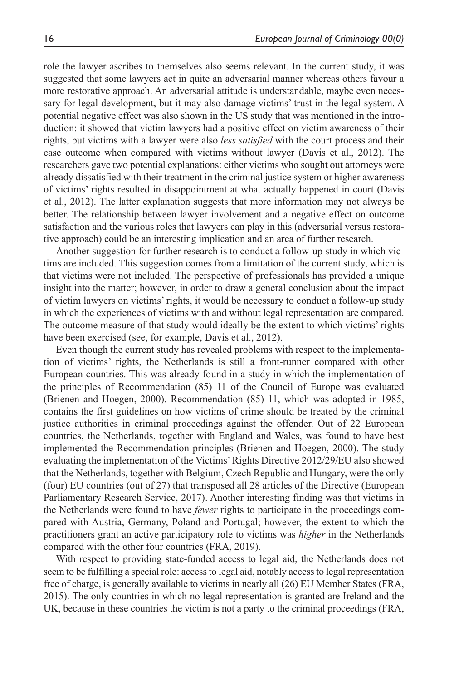role the lawyer ascribes to themselves also seems relevant. In the current study, it was suggested that some lawyers act in quite an adversarial manner whereas others favour a more restorative approach. An adversarial attitude is understandable, maybe even necessary for legal development, but it may also damage victims' trust in the legal system. A potential negative effect was also shown in the US study that was mentioned in the introduction: it showed that victim lawyers had a positive effect on victim awareness of their rights, but victims with a lawyer were also *less satisfied* with the court process and their case outcome when compared with victims without lawyer (Davis et al., 2012). The researchers gave two potential explanations: either victims who sought out attorneys were already dissatisfied with their treatment in the criminal justice system or higher awareness of victims' rights resulted in disappointment at what actually happened in court (Davis et al., 2012). The latter explanation suggests that more information may not always be better. The relationship between lawyer involvement and a negative effect on outcome satisfaction and the various roles that lawyers can play in this (adversarial versus restorative approach) could be an interesting implication and an area of further research.

Another suggestion for further research is to conduct a follow-up study in which victims are included. This suggestion comes from a limitation of the current study, which is that victims were not included. The perspective of professionals has provided a unique insight into the matter; however, in order to draw a general conclusion about the impact of victim lawyers on victims' rights, it would be necessary to conduct a follow-up study in which the experiences of victims with and without legal representation are compared. The outcome measure of that study would ideally be the extent to which victims' rights have been exercised (see, for example, Davis et al., 2012).

Even though the current study has revealed problems with respect to the implementation of victims' rights, the Netherlands is still a front-runner compared with other European countries. This was already found in a study in which the implementation of the principles of Recommendation (85) 11 of the Council of Europe was evaluated (Brienen and Hoegen, 2000). Recommendation (85) 11, which was adopted in 1985, contains the first guidelines on how victims of crime should be treated by the criminal justice authorities in criminal proceedings against the offender. Out of 22 European countries, the Netherlands, together with England and Wales, was found to have best implemented the Recommendation principles (Brienen and Hoegen, 2000). The study evaluating the implementation of the Victims' Rights Directive 2012/29/EU also showed that the Netherlands, together with Belgium, Czech Republic and Hungary, were the only (four) EU countries (out of 27) that transposed all 28 articles of the Directive (European Parliamentary Research Service, 2017). Another interesting finding was that victims in the Netherlands were found to have *fewer* rights to participate in the proceedings compared with Austria, Germany, Poland and Portugal; however, the extent to which the practitioners grant an active participatory role to victims was *higher* in the Netherlands compared with the other four countries (FRA, 2019).

With respect to providing state-funded access to legal aid, the Netherlands does not seem to be fulfilling a special role: access to legal aid, notably access to legal representation free of charge, is generally available to victims in nearly all (26) EU Member States (FRA, 2015). The only countries in which no legal representation is granted are Ireland and the UK, because in these countries the victim is not a party to the criminal proceedings (FRA,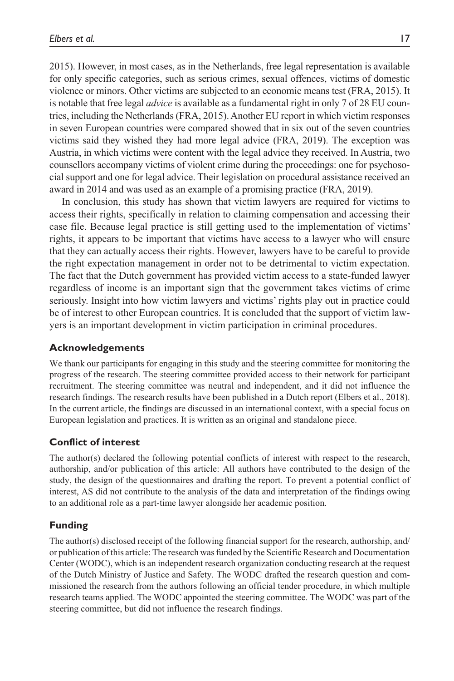2015). However, in most cases, as in the Netherlands, free legal representation is available for only specific categories, such as serious crimes, sexual offences, victims of domestic violence or minors. Other victims are subjected to an economic means test (FRA, 2015). It is notable that free legal *advice* is available as a fundamental right in only 7 of 28 EU countries, including the Netherlands (FRA, 2015). Another EU report in which victim responses in seven European countries were compared showed that in six out of the seven countries victims said they wished they had more legal advice (FRA, 2019). The exception was Austria, in which victims were content with the legal advice they received. In Austria, two counsellors accompany victims of violent crime during the proceedings: one for psychosocial support and one for legal advice. Their legislation on procedural assistance received an award in 2014 and was used as an example of a promising practice (FRA, 2019).

In conclusion, this study has shown that victim lawyers are required for victims to access their rights, specifically in relation to claiming compensation and accessing their case file. Because legal practice is still getting used to the implementation of victims' rights, it appears to be important that victims have access to a lawyer who will ensure that they can actually access their rights. However, lawyers have to be careful to provide the right expectation management in order not to be detrimental to victim expectation. The fact that the Dutch government has provided victim access to a state-funded lawyer regardless of income is an important sign that the government takes victims of crime seriously. Insight into how victim lawyers and victims' rights play out in practice could be of interest to other European countries. It is concluded that the support of victim lawyers is an important development in victim participation in criminal procedures.

#### **Acknowledgements**

We thank our participants for engaging in this study and the steering committee for monitoring the progress of the research. The steering committee provided access to their network for participant recruitment. The steering committee was neutral and independent, and it did not influence the research findings. The research results have been published in a Dutch report (Elbers et al., 2018). In the current article, the findings are discussed in an international context, with a special focus on European legislation and practices. It is written as an original and standalone piece.

#### **Conflict of interest**

The author(s) declared the following potential conflicts of interest with respect to the research, authorship, and/or publication of this article: All authors have contributed to the design of the study, the design of the questionnaires and drafting the report. To prevent a potential conflict of interest, AS did not contribute to the analysis of the data and interpretation of the findings owing to an additional role as a part-time lawyer alongside her academic position.

#### **Funding**

The author(s) disclosed receipt of the following financial support for the research, authorship, and/ or publication of this article: The research was funded by the Scientific Research and Documentation Center (WODC), which is an independent research organization conducting research at the request of the Dutch Ministry of Justice and Safety. The WODC drafted the research question and commissioned the research from the authors following an official tender procedure, in which multiple research teams applied. The WODC appointed the steering committee. The WODC was part of the steering committee, but did not influence the research findings.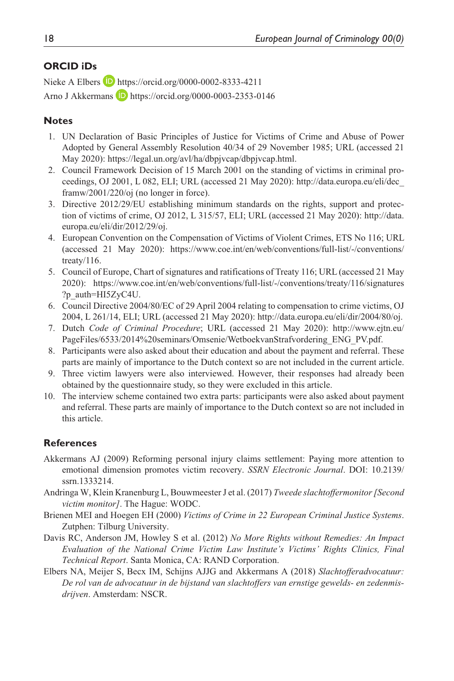## **ORCID iDs**

Nieke A Elbers **D** <https://orcid.org/0000-0002-8333-4211>

Arno J Akkermans **D** <https://orcid.org/0000-0003-2353-0146>

#### **Notes**

- 1. UN Declaration of Basic Principles of Justice for Victims of Crime and Abuse of Power Adopted by General Assembly Resolution 40/34 of 29 November 1985; URL (accessed 21 May 2020):<https://legal.un.org/avl/ha/dbpjvcap/dbpjvcap.html>.
- 2. Council Framework Decision of 15 March 2001 on the standing of victims in criminal proceedings, OJ 2001, L 082, ELI; URL (accessed 21 May 2020): [http://data.europa.eu/eli/dec\\_](http://data.europa.eu/eli/dec_framw/2001/220/oj) [framw/2001/220/oj](http://data.europa.eu/eli/dec_framw/2001/220/oj) (no longer in force).
- 3. Directive 2012/29/EU establishing minimum standards on the rights, support and protection of victims of crime, OJ 2012, L 315/57, ELI; URL (accessed 21 May 2020): [http://data.](http://data.europa.eu/eli/dir/2012/29/oj) [europa.eu/eli/dir/2012/29/oj](http://data.europa.eu/eli/dir/2012/29/oj).
- 4. European Convention on the Compensation of Victims of Violent Crimes, ETS No 116; URL (accessed 21 May 2020): [https://www.coe.int/en/web/conventions/full-list/-/conventions/](https://www.coe.int/en/web/conventions/full-list/-/conventions/treaty/116) [treaty/116.](https://www.coe.int/en/web/conventions/full-list/-/conventions/treaty/116)
- 5. Council of Europe, Chart of signatures and ratifications of Treaty 116; URL (accessed 21 May 2020): [https://www.coe.int/en/web/conventions/full-list/-/conventions/treaty/116/signatures](https://www.coe.int/en/web/conventions/full-list/-/conventions/treaty/116/signatures?p_auth=HI5ZyC4U) [?p\\_auth=HI5ZyC4U](https://www.coe.int/en/web/conventions/full-list/-/conventions/treaty/116/signatures?p_auth=HI5ZyC4U).
- 6. Council Directive 2004/80/EC of 29 April 2004 relating to compensation to crime victims, OJ 2004, L 261/14, ELI; URL (accessed 21 May 2020): [http://data.europa.eu/eli/dir/2004/80/oj.](http://data.europa.eu/eli/dir/2004/80/oj)
- 7. Dutch *Code of Criminal Procedure*; URL (accessed 21 May 2020): [http://www.ejtn.eu/](http://www.ejtn.eu/PageFiles/6533/2014%20seminars/Omsenie/WetboekvanStrafvordering_ENG_PV.pdf) [PageFiles/6533/2014%20seminars/Omsenie/WetboekvanStrafvordering\\_ENG\\_PV.pdf](http://www.ejtn.eu/PageFiles/6533/2014%20seminars/Omsenie/WetboekvanStrafvordering_ENG_PV.pdf).
- 8. Participants were also asked about their education and about the payment and referral. These parts are mainly of importance to the Dutch context so are not included in the current article.
- 9. Three victim lawyers were also interviewed. However, their responses had already been obtained by the questionnaire study, so they were excluded in this article.
- 10. The interview scheme contained two extra parts: participants were also asked about payment and referral. These parts are mainly of importance to the Dutch context so are not included in this article.

#### **References**

- Akkermans AJ (2009) Reforming personal injury claims settlement: Paying more attention to emotional dimension promotes victim recovery. *SSRN Electronic Journal*. DOI: 10.2139/ ssrn.1333214.
- Andringa W, Klein Kranenburg L, Bouwmeester J et al. (2017) *Tweede slachtoffermonitor [Second victim monitor]*. The Hague: WODC.
- Brienen MEI and Hoegen EH (2000) *Victims of Crime in 22 European Criminal Justice Systems*. Zutphen: Tilburg University.
- Davis RC, Anderson JM, Howley S et al. (2012) *No More Rights without Remedies: An Impact Evaluation of the National Crime Victim Law Institute's Victims' Rights Clinics, Final Technical Report*. Santa Monica, CA: RAND Corporation.
- Elbers NA, Meijer S, Becx IM, Schijns AJJG and Akkermans A (2018) *Slachtofferadvocatuur: De rol van de advocatuur in de bijstand van slachtoffers van ernstige gewelds- en zedenmisdrijven*. Amsterdam: NSCR.